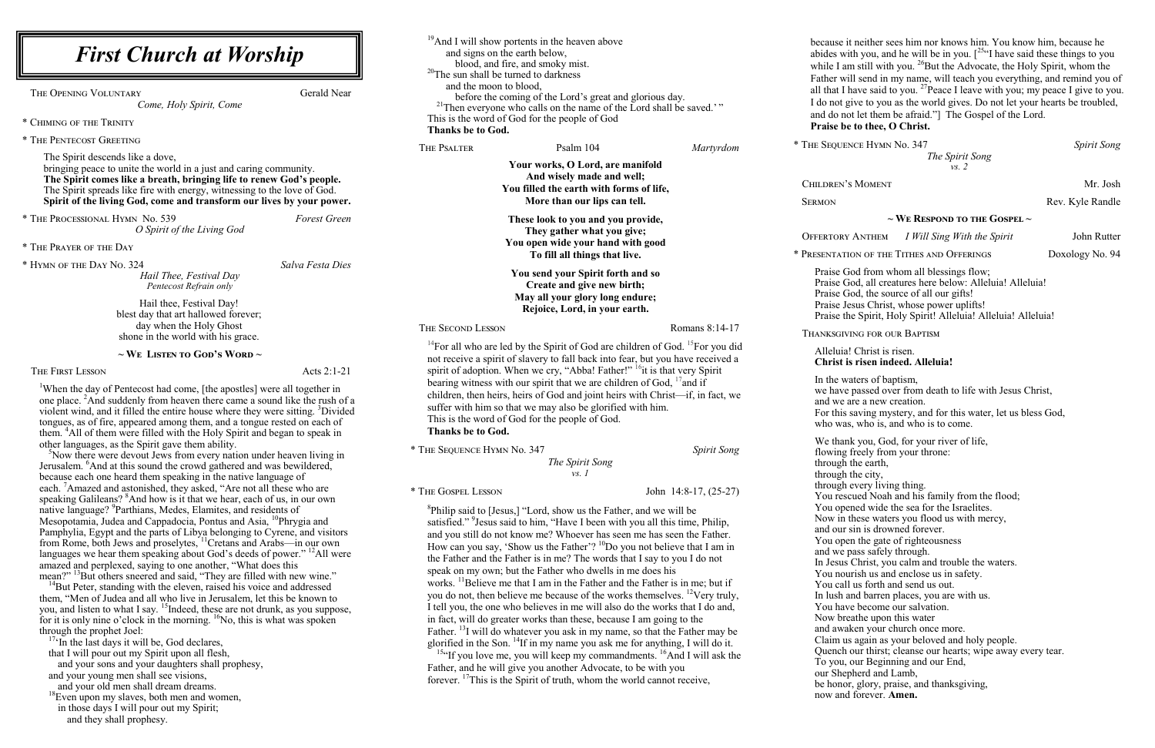#### uia! Christ is risen. **Christ is risen indeed. Alleluia!**

waters of baptism, we passed over from death to life with Jesus Christ, e are a new creation. is saving mystery, and for this water, let us bless God, was, who is, and who is to come.

ank you, God, for your river of life,

ng freely from your throne:

 $\sin$  the earth,

 $\bar{g}$ h the city,

 $\epsilon$ <sub>gh</sub> every living thing.

escued Noah and his family from the flood;

pened wide the sea for the Israelites.

 $\hat{I}$  in these waters you flood us with mercy,

ur sin is drowned forever.

ppen the gate of righteousness

e pass safely through.

 $\overline{\text{u}}$  Christ, you calm and trouble the waters.

hourish us and enclose us in safety.

all us forth and send us out.

h and barren places, you are with us.

ave become our salvation.

breathe upon this water

waken your church once more.

i us again as your beloved and holy people.

ch our thirst; cleanse our hearts; wipe away every tear.

u, our Beginning and our End,

hepherd and Lamb,

nor, glory, praise, and thanksgiving,

and forever. **Amen.** 

*The Spirit Song vs. 2*

N's Moment Mr. Josh

Rev. Kyle Randle

### **~ We Respond to the Gospel ~**

Offertory Anthem *I Will Sing With the Spirit* John Rutter

ATION OF THE TITHES AND OFFERINGS Doxology No. 94

God from whom all blessings flow; God, all creatures here below: Alleluia! Alleluia!  $\cdot$  God, the source of all our gifts! **Produce**: Jesus Christ, whose power uplifts! e the Spirit, Holy Spirit! Alleluia! Alleluia! Alleluia!

**GIVING FOR OUR BAPTISM** 

| <sup>19</sup> And I will show portents in the heaven above<br><b>First Church at Worship</b><br>and signs on the earth below,<br>blood, and fire, and smoky mist.<br><sup>20</sup> The sun shall be turned to darkness                                                                                                                                                                                                                                                                                                                                                                                                                                                                                                                                                                                                                                                                                                                                                                                                                                                                                                                                                                                                                                                                                                                                                                                                             |                                                                                                                                                                                                                                                                                                                                                                                                                                                                                                                                                                                                                                                                                                                                                                                                                                                                                                                                                                                                                                                                                                                                                                                                                                                                         | becaus<br>abides<br>while I |                                                                                                                                                                                |
|------------------------------------------------------------------------------------------------------------------------------------------------------------------------------------------------------------------------------------------------------------------------------------------------------------------------------------------------------------------------------------------------------------------------------------------------------------------------------------------------------------------------------------------------------------------------------------------------------------------------------------------------------------------------------------------------------------------------------------------------------------------------------------------------------------------------------------------------------------------------------------------------------------------------------------------------------------------------------------------------------------------------------------------------------------------------------------------------------------------------------------------------------------------------------------------------------------------------------------------------------------------------------------------------------------------------------------------------------------------------------------------------------------------------------------|-------------------------------------------------------------------------------------------------------------------------------------------------------------------------------------------------------------------------------------------------------------------------------------------------------------------------------------------------------------------------------------------------------------------------------------------------------------------------------------------------------------------------------------------------------------------------------------------------------------------------------------------------------------------------------------------------------------------------------------------------------------------------------------------------------------------------------------------------------------------------------------------------------------------------------------------------------------------------------------------------------------------------------------------------------------------------------------------------------------------------------------------------------------------------------------------------------------------------------------------------------------------------|-----------------------------|--------------------------------------------------------------------------------------------------------------------------------------------------------------------------------|
| <b>Gerald Near</b><br>THE OPENING VOLUNTARY<br>Come, Holy Spirit, Come<br>* CHIMING OF THE TRINITY                                                                                                                                                                                                                                                                                                                                                                                                                                                                                                                                                                                                                                                                                                                                                                                                                                                                                                                                                                                                                                                                                                                                                                                                                                                                                                                                 | and the moon to blood,<br>before the coming of the Lord's great and glorious day.<br><sup>21</sup> Then everyone who calls on the name of the Lord shall be saved.'"<br>This is the word of God for the people of God<br>Thanks be to God.                                                                                                                                                                                                                                                                                                                                                                                                                                                                                                                                                                                                                                                                                                                                                                                                                                                                                                                                                                                                                              |                             | Father<br>all that<br>I do no<br>and do<br>Praise                                                                                                                              |
| * THE PENTECOST GREETING                                                                                                                                                                                                                                                                                                                                                                                                                                                                                                                                                                                                                                                                                                                                                                                                                                                                                                                                                                                                                                                                                                                                                                                                                                                                                                                                                                                                           | THE PSALTER                                                                                                                                                                                                                                                                                                                                                                                                                                                                                                                                                                                                                                                                                                                                                                                                                                                                                                                                                                                                                                                                                                                                                                                                                                                             | Psalm 104<br>Martyrdom      | * THE SEQU                                                                                                                                                                     |
| The Spirit descends like a dove,<br>bringing peace to unite the world in a just and caring community.<br>The Spirit comes like a breath, bringing life to renew God's people.<br>The Spirit spreads like fire with energy, witnessing to the love of God.<br>Spirit of the living God, come and transform our lives by your power.                                                                                                                                                                                                                                                                                                                                                                                                                                                                                                                                                                                                                                                                                                                                                                                                                                                                                                                                                                                                                                                                                                 | Your works, O Lord, are manifold<br>And wisely made and well;<br>You filled the earth with forms of life,<br>More than our lips can tell.                                                                                                                                                                                                                                                                                                                                                                                                                                                                                                                                                                                                                                                                                                                                                                                                                                                                                                                                                                                                                                                                                                                               |                             | <b>CHILDRE</b><br><b>SERMON</b>                                                                                                                                                |
| * THE PROCESSIONAL HYMN No. 539<br><b>Forest Green</b><br>O Spirit of the Living God                                                                                                                                                                                                                                                                                                                                                                                                                                                                                                                                                                                                                                                                                                                                                                                                                                                                                                                                                                                                                                                                                                                                                                                                                                                                                                                                               | These look to you and you provide,<br>They gather what you give;<br>You open wide your hand with good<br>To fill all things that live.                                                                                                                                                                                                                                                                                                                                                                                                                                                                                                                                                                                                                                                                                                                                                                                                                                                                                                                                                                                                                                                                                                                                  |                             | <b>OFFERTO</b>                                                                                                                                                                 |
| * THE PRAYER OF THE DAY                                                                                                                                                                                                                                                                                                                                                                                                                                                                                                                                                                                                                                                                                                                                                                                                                                                                                                                                                                                                                                                                                                                                                                                                                                                                                                                                                                                                            |                                                                                                                                                                                                                                                                                                                                                                                                                                                                                                                                                                                                                                                                                                                                                                                                                                                                                                                                                                                                                                                                                                                                                                                                                                                                         |                             | * PRESENTA                                                                                                                                                                     |
| * HYMN OF THE DAY NO. 324<br>Salva Festa Dies<br>Hail Thee, Festival Day<br>Pentecost Refrain only<br>Hail thee, Festival Day!<br>blest day that art hallowed forever;                                                                                                                                                                                                                                                                                                                                                                                                                                                                                                                                                                                                                                                                                                                                                                                                                                                                                                                                                                                                                                                                                                                                                                                                                                                             | You send your Spirit forth and so<br>Create and give new birth;<br>May all your glory long endure;<br>Rejoice, Lord, in your earth.                                                                                                                                                                                                                                                                                                                                                                                                                                                                                                                                                                                                                                                                                                                                                                                                                                                                                                                                                                                                                                                                                                                                     |                             | Praise<br>Praise<br>Praise<br>Praise<br>Praise                                                                                                                                 |
| day when the Holy Ghost<br>shone in the world with his grace.                                                                                                                                                                                                                                                                                                                                                                                                                                                                                                                                                                                                                                                                                                                                                                                                                                                                                                                                                                                                                                                                                                                                                                                                                                                                                                                                                                      | THE SECOND LESSON                                                                                                                                                                                                                                                                                                                                                                                                                                                                                                                                                                                                                                                                                                                                                                                                                                                                                                                                                                                                                                                                                                                                                                                                                                                       | Romans 8:14-17              | <b>THANKSC</b>                                                                                                                                                                 |
| $\sim$ We Listen to God's Word $\sim$<br>Acts 2:1-21<br>THE FIRST LESSON                                                                                                                                                                                                                                                                                                                                                                                                                                                                                                                                                                                                                                                                                                                                                                                                                                                                                                                                                                                                                                                                                                                                                                                                                                                                                                                                                           | <sup>14</sup> For all who are led by the Spirit of God are children of God. <sup>15</sup> For you did<br>not receive a spirit of slavery to fall back into fear, but you have received a<br>spirit of adoption. When we cry, "Abba! Father!" <sup>16</sup> it is that very Spirit<br>bearing witness with our spirit that we are children of God, $^{17}$ and if<br>children, then heirs, heirs of God and joint heirs with Christ—if, in fact, we<br>suffer with him so that we may also be glorified with him.<br>This is the word of God for the people of God.<br>Thanks be to God.                                                                                                                                                                                                                                                                                                                                                                                                                                                                                                                                                                                                                                                                                 |                             | Allelu<br><b>Chris</b>                                                                                                                                                         |
| <sup>1</sup> When the day of Pentecost had come, [the apostles] were all together in<br>one place. <sup>2</sup> And suddenly from heaven there came a sound like the rush of a<br>violent wind, and it filled the entire house where they were sitting. <sup>3</sup> Divided<br>tongues, as of fire, appeared among them, and a tongue rested on each of<br>them. <sup>4</sup> All of them were filled with the Holy Spirit and began to speak in                                                                                                                                                                                                                                                                                                                                                                                                                                                                                                                                                                                                                                                                                                                                                                                                                                                                                                                                                                                  |                                                                                                                                                                                                                                                                                                                                                                                                                                                                                                                                                                                                                                                                                                                                                                                                                                                                                                                                                                                                                                                                                                                                                                                                                                                                         |                             | In the<br>we ha<br>and w<br>For th<br>who v<br>We th                                                                                                                           |
| other languages, as the Spirit gave them ability.<br><sup>5</sup> Now there were devout Jews from every nation under heaven living in<br>Jerusalem. <sup>6</sup> And at this sound the crowd gathered and was bewildered,<br>because each one heard them speaking in the native language of<br>each. <sup>'</sup> Amazed and astonished, they asked, "Are not all these who are                                                                                                                                                                                                                                                                                                                                                                                                                                                                                                                                                                                                                                                                                                                                                                                                                                                                                                                                                                                                                                                    | * THE SEQUENCE HYMN No. 347<br><b>Spirit Song</b><br>The Spirit Song<br>$\mathit{vs. 1}$                                                                                                                                                                                                                                                                                                                                                                                                                                                                                                                                                                                                                                                                                                                                                                                                                                                                                                                                                                                                                                                                                                                                                                                |                             | flowir<br>throug<br>throug<br>throug                                                                                                                                           |
| speaking Galileans? <sup>8</sup> And how is it that we hear, each of us, in our own<br>native language? <sup>9</sup> Parthians, Medes, Elamites, and residents of<br>Mesopotamia, Judea and Cappadocia, Pontus and Asia, <sup>10</sup> Phrygia and<br>Pamphylia, Egypt and the parts of Libya belonging to Cyrene, and visitors<br>from Rome, both Jews and proselytes, <sup>11</sup> Cretans and Arabs-in our own<br>languages we hear them speaking about God's deeds of power." <sup>12</sup> All were<br>amazed and perplexed, saying to one another, "What does this<br>mean?" <sup>13</sup> But others sneered and said, "They are filled with new wine."<br><sup>4</sup> But Peter, standing with the eleven, raised his voice and addressed<br>them, "Men of Judea and all who live in Jerusalem, let this be known to<br>you, and listen to what I say. <sup>15</sup> Indeed, these are not drunk, as you suppose,<br>for it is only nine o'clock in the morning. <sup>16</sup> No, this is what was spoken<br>through the prophet Joel:<br>$17\cdot$ In the last days it will be, God declares,<br>that I will pour out my Spirit upon all flesh,<br>and your sons and your daughters shall prophesy,<br>and your young men shall see visions,<br>and your old men shall dream dreams.<br><sup>18</sup> Even upon my slaves, both men and women,<br>in those days I will pour out my Spirit;<br>and they shall prophesy. | <sup>8</sup> Philip said to [Jesus,] "Lord, show us the Father, and we will be<br>satisfied." <sup>9</sup> Jesus said to him, "Have I been with you all this time, Philip,<br>and you still do not know me? Whoever has seen me has seen the Father.<br>How can you say, 'Show us the Father'? ${}^{10}$ Do you not believe that I am in<br>the Father and the Father is in me? The words that I say to you I do not<br>speak on my own; but the Father who dwells in me does his<br>works. <sup>11</sup> Believe me that I am in the Father and the Father is in me; but if<br>you do not, then believe me because of the works themselves. <sup>12</sup> Very truly,<br>I tell you, the one who believes in me will also do the works that I do and,<br>in fact, will do greater works than these, because I am going to the<br>Father. <sup>13</sup> I will do whatever you ask in my name, so that the Father may be<br>glorified in the Son. $^{14}$ If in my name you ask me for anything, I will do it.<br><sup>15a</sup> If you love me, you will keep my commandments. <sup>16</sup> And I will ask the<br>Father, and he will give you another Advocate, to be with you<br>forever. <sup>17</sup> This is the Spirit of truth, whom the world cannot receive, |                             | You r<br>You o<br>Now i<br>and or<br>You o<br>and w<br>In Jes<br>You n<br>You c<br>In lusl<br>You h<br>Now b<br>and av<br>Claim<br>Queno<br>To yo<br>our Sl<br>be hor<br>now a |

e it neither sees him nor knows him. You know him, because he abides with you, and he will be in you.  $[254]$  have said these things to you I am still with you.  $^{26}$ But the Advocate, the Holy Spirit, whom the will send in my name, will teach you everything, and remind you of I have said to you. <sup>27</sup>Peace I leave with you; my peace I give to you. It give to you as the world gives. Do not let your hearts be troubled, not let them be afraid."] The Gospel of the Lord. be to thee, O Christ.

Experience Hymn No. 347 *Spirit Song*